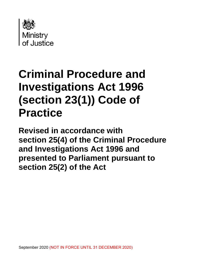

# **Criminal Procedure and Investigations Act 1996 (section 23(1)) Code of Practice**

**Revised in accordance with section 25(4) of the Criminal Procedure and Investigations Act 1996 and presented to Parliament pursuant to section 25(2) of the Act** 

September 2020 (NOT IN FORCE UNTIL 31 DECEMBER 2020)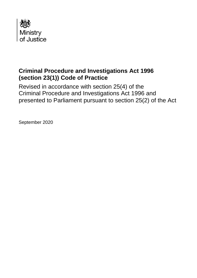

## **Criminal Procedure and Investigations Act 1996 (section 23(1)) Code of Practice**

Revised in accordance with section 25(4) of the Criminal Procedure and Investigations Act 1996 and presented to Parliament pursuant to section 25(2) of the Act

September 2020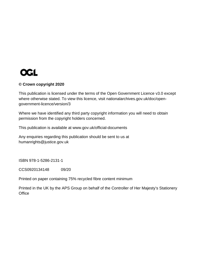

#### **© Crown copyright 2020**

This publication is licensed under the terms of the Open Government Licence v3.0 except where otherwise stated. To view this licence, visit [nationalarchives.gov.uk/doc/open](http://nationalarchives.gov.uk/doc/open-government-licence/version/3/)[government-licence/version/3](http://nationalarchives.gov.uk/doc/open-government-licence/version/3/)

Where we have identified any third party copyright information you will need to obtain permission from the copyright holders concerned.

This publication is available at [www.gov.uk/official-documents](http://www.gov.uk/official-documents)

Any enquiries regarding this publication should be sent to us at [humanrights@justice.gov.uk](mailto:humanrights@justice.gov.uk)

ISBN 978-1-5286-2131-1

CCS0920134148 09/20

Printed on paper containing 75% recycled fibre content minimum

Printed in the UK by the APS Group on behalf of the Controller of Her Majesty's Stationery **Office**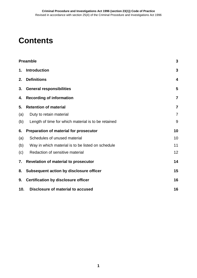## **Contents**

| <b>Preamble</b> |                                                     | 3                       |
|-----------------|-----------------------------------------------------|-------------------------|
| 1.              | <b>Introduction</b>                                 | 3                       |
| 2.              | <b>Definitions</b>                                  | $\overline{\mathbf{4}}$ |
| 3.              | <b>General responsibilities</b>                     | 5                       |
| 4.              | <b>Recording of information</b>                     | $\overline{7}$          |
| 5.              | <b>Retention of material</b>                        | $\overline{7}$          |
| (a)             | Duty to retain material                             | $\overline{7}$          |
| (b)             | Length of time for which material is to be retained | 9                       |
| 6.              | <b>Preparation of material for prosecutor</b>       | 10                      |
| (a)             | Schedules of unused material                        | 10                      |
| (b)             | Way in which material is to be listed on schedule   | 11                      |
| (c)             | Redaction of sensitive material                     | 12                      |
| 7.              | <b>Revelation of material to prosecutor</b>         | 14                      |
| 8.              | Subsequent action by disclosure officer             | 15                      |
| 9.              | <b>Certification by disclosure officer</b>          | 16                      |
| 10.             | Disclosure of material to accused                   | 16                      |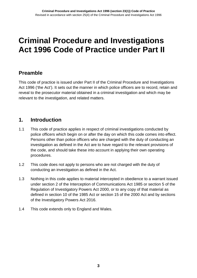## **Criminal Procedure and Investigations Act 1996 Code of Practice under Part II**

## <span id="page-5-0"></span>**Preamble**

This code of practice is issued under Part II of the Criminal Procedure and Investigations Act 1996 ('the Act'). It sets out the manner in which police officers are to record, retain and reveal to the prosecutor material obtained in a criminal investigation and which may be relevant to the investigation, and related matters.

## <span id="page-5-1"></span>**1. Introduction**

- 1.1 This code of practice applies in respect of criminal investigations conducted by police officers which begin on or after the day on which this code comes into effect. Persons other than police officers who are charged with the duty of conducting an investigation as defined in the Act are to have regard to the relevant provisions of the code, and should take these into account in applying their own operating procedures.
- 1.2 This code does not apply to persons who are not charged with the duty of conducting an investigation as defined in the Act.
- 1.3 Nothing in this code applies to material intercepted in obedience to a warrant issued under section 2 of the Interception of Communications Act 1985 or section 5 of the Regulation of Investigatory Powers Act 2000, or to any copy of that material as defined in section 10 of the 1985 Act or section 15 of the 2000 Act and by sections of the Investigatory Powers Act 2016.
- 1.4 This code extends only to England and Wales.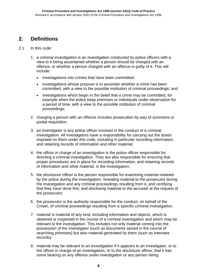## <span id="page-6-0"></span>**2. Definitions**

- 2.1 In this code:
	- 1. *a criminal investigation* is an investigation conducted by police officers with a view to it being ascertained whether a person should be charged with an offence, or whether a person charged with an offence is guilty of it. This will include:
		- investigations into crimes that have been committed;
		- investigations whose purpose is to ascertain whether a crime has been committed, with a view to the possible institution of criminal proceedings; and
		- investigations which begin in the belief that a crime may be committed, for example when the police keep premises or individuals under observation for a period of time, with a view to the possible institution of criminal proceedings;
	- 2. charging a person with an offence includes prosecution by way of summons or postal requisition;
	- 3. *an investigator* is any police officer involved in the conduct of a criminal investigation. All investigators have a responsibility for carrying out the duties imposed on them under this code, including in particular recording information, and retaining records of information and other material;
	- 4. the *officer in charge of an investigation* is the police officer responsible for directing a criminal investigation. They are also responsible for ensuring that proper procedures are in place for recording information, and retaining records of information and other material, in the investigation;
	- 5. the *disclosure officer* is the person responsible for examining material retained by the police during the investigation; revealing material to the prosecutor during the investigation and any criminal proceedings resulting from it, and certifying that they have done this; and disclosing material to the accused at the request of the prosecutor;
	- 6. the *prosecutor* is the authority responsible for the conduct, on behalf of the Crown, of criminal proceedings resulting from a specific criminal investigation;
	- 7. *material* is material of any kind, including information and objects, which is obtained or inspected in the course of a criminal investigation and which may be relevant to the investigation. This includes not only material coming into the possession of the investigator (such as documents seized in the course of searching premises) but also material generated by them (such as interview records);
	- 8. material may be *relevant to an investigation* if it appears to an investigator, or to the officer in charge of an investigation, or to the disclosure officer, that it has some bearing on any offence under investigation or any person being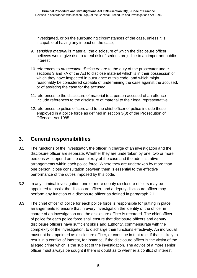investigated, or on the surrounding circumstances of the case, unless it is incapable of having any impact on the case;

- 9. *sensitive material* is material, the disclosure of which the disclosure officer believes would give rise to a real risk of serious prejudice to an important public interest;
- 10.references to *prosecution disclosure* are to the duty of the prosecutor under sections 3 and 7A of the Act to disclose material which is in their possession or which they have inspected in pursuance of this code, and which might reasonably be considered capable of undermining the case against the accused, or of assisting the case for the accused;
- 11.references to the disclosure of material to a person accused of an offence include references to the disclosure of material to their legal representative;
- 12.references to police officers and to the chief officer of police include those employed in a police force as defined in section 3(3) of the Prosecution of Offences Act 1985.

### <span id="page-7-0"></span>**3. General responsibilities**

- 3.1 The functions of the investigator, the officer in charge of an investigation and the disclosure officer are separate. Whether they are undertaken by one, two or more persons will depend on the complexity of the case and the administrative arrangements within each police force. Where they are undertaken by more than one person, close consultation between them is essential to the effective performance of the duties imposed by this code.
- 3.2 In any criminal investigation, one or more deputy disclosure officers may be appointed to assist the disclosure officer, and a deputy disclosure officer may perform any function of a disclosure officer as defined in paragraph 2.1.
- 3.3 The chief officer of police for each police force is responsible for putting in place arrangements to ensure that in every investigation the identity of the officer in charge of an investigation and the disclosure officer is recorded. The chief officer of police for each police force shall ensure that disclosure officers and deputy disclosure officers have sufficient skills and authority, commensurate with the complexity of the investigation, to discharge their functions effectively. An individual must not be appointed as disclosure officer, or continue in that role, if that is likely to result in a conflict of interest, for instance, if the disclosure officer is the victim of the alleged crime which is the subject of the investigation. The advice of a more senior officer must always be sought if there is doubt as to whether a conflict of interest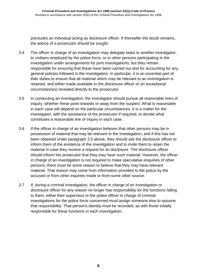precludes an individual acting as disclosure officer. If thereafter the doubt remains, the advice of a prosecutor should be sought.

- 3.4 The officer in charge of an investigation may delegate tasks to another investigator, to civilians employed by the police force, or to other persons participating in the investigation under arrangements for joint investigations, but they remain responsible for ensuring that these have been carried out and for accounting for any general policies followed in the investigation. In particular, it is an essential part of their duties to ensure that all material which may be relevant to an investigation is retained, and either made available to the disclosure officer or (in exceptional circumstances) revealed directly to the prosecutor.
- 3.5 In conducting an investigation, the investigator should pursue all reasonable lines of inquiry, whether these point towards or away from the suspect. What is reasonable in each case will depend on the particular circumstances. It is a matter for the investigator, with the assistance of the prosecutor if required, to decide what constitutes a reasonable line of inquiry in each case.
- 3.6 If the officer in charge of an investigation believes that other persons may be in possession of material that may be relevant to the investigation, and if this has not been obtained under paragraph 3.5 above, they should ask the disclosure officer to inform them of the existence of the investigation and to invite them to retain the material in case they receive a request for its disclosure. The disclosure officer should inform the prosecutor that they may have such material. However, the officer in charge of an investigation is not required to make speculative enquiries of other persons; there must be some reason to believe that they may have relevant material. That reason may come from information provided to the police by the accused or from other inquiries made or from some other source.
- 3.7 If, during a criminal investigation, the officer in charge of an investigation or disclosure officer for any reason no longer has responsibility for the functions falling to them, either their supervisor or the police officer in charge of criminal investigations for the police force concerned must assign someone else to assume that responsibility. That person's identity must be recorded, as with those initially responsible for these functions in each investigation.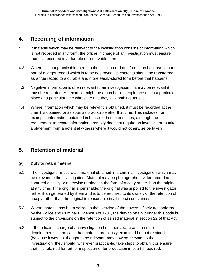## <span id="page-9-0"></span>**4. Recording of information**

- 4.1 If material which may be relevant to the investigation consists of information which is not recorded in any form, the officer in charge of an investigation must ensure that it is recorded in a durable or retrievable form.
- 4.2 Where it is not practicable to retain the initial record of information because it forms part of a larger record which is to be destroyed, its contents should be transferred as a true record to a durable and more easily-stored form before that happens.
- 4.3 Negative information is often relevant to an investigation. If it may be relevant it must be recorded. An example might be a number of people present in a particular place at a particular time who state that they saw nothing unusual.
- 4.4 Where information which may be relevant is obtained, it must be recorded at the time it is obtained or as soon as practicable after that time. This includes, for example, information obtained in house-to-house enquiries, although the requirement to record information promptly does not require an investigator to take a statement from a potential witness where it would not otherwise be taken.

## <span id="page-9-1"></span>**5. Retention of material**

#### <span id="page-9-2"></span>**(a) Duty to retain material**

- 5.1 The investigator must retain material obtained in a criminal investigation which may be relevant to the investigation. Material may be photographed, video-recorded, captured digitally or otherwise retained in the form of a copy rather than the original at any time, if the original is perishable; the original was supplied to the investigator rather than generated by them and is to be returned to its owner; or the retention of a copy rather than the original is reasonable in all the circumstances.
- 5.2 Where material has been seized in the exercise of the powers of seizure conferred by the Police and Criminal Evidence Act 1984, the duty to retain it under this code is subject to the provisions on the retention of seized material in section 22 of that Act.
- 5.3 If the officer in charge of an investigation becomes aware as a result of developments in the case that material previously examined but not retained (because it was not thought to be relevant) may now be relevant to the investigation, they should, wherever practicable, take steps to obtain it or ensure that it is retained for further inspection or for production in court if required.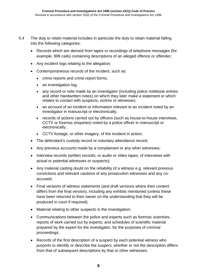- 5.4 The duty to retain material includes in particular the duty to retain material falling into the following categories:
	- Records which are derived from tapes or recordings of telephone messages (for example, 999 calls) containing descriptions of an alleged offence or offender;
	- Any incident logs relating to the allegation;
	- Contemporaneous records of the incident, such as:
		- crime reports and crime report forms;
		- an investigation log;
		- any record or note made by an investigator (including police notebook entries and other handwritten notes) on which they later make a statement or which relates to contact with suspects, victims or witnesses;
		- an account of an incident or information relevant to an incident noted by an investigator in manuscript or electronically;
		- records of actions carried out by officers (such as house-to-house interviews, CCTV or forensic enquiries) noted by a police officer in manuscript or electronically;
		- CCTV footage, or other imagery, of the incident in action;
	- The defendant's custody record or voluntary attendance record;
	- Any previous accounts made by a complainant or any other witnesses;
	- Interview records (written records, or audio or video tapes, of interviews with actual or potential witnesses or suspects);
	- Any material casting doubt on the reliability of a witness e.g. relevant previous convictions and relevant cautions of any prosecution witnesses and any coaccused;
	- Final versions of witness statements (and draft versions where their content differs from the final version), including any exhibits mentioned (unless these have been returned to their owner on the understanding that they will be produced in court if required);
	- Material relating to other suspects in the investigation;
	- Communications between the police and experts such as forensic scientists, reports of work carried out by experts, and schedules of scientific material prepared by the expert for the investigator, for the purposes of criminal proceedings;
	- Records of the first description of a suspect by each potential witness who purports to identify or describe the suspect, whether or not the description differs from that of subsequent descriptions by that or other witnesses.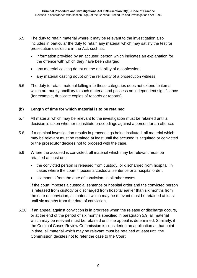- 5.5 The duty to retain material where it may be relevant to the investigation also includes in particular the duty to retain any material which may satisfy the test for prosecution disclosure in the Act, such as:
	- information provided by an accused person which indicates an explanation for the offence with which they have been charged;
	- any material casting doubt on the reliability of a confession;
	- any material casting doubt on the reliability of a prosecution witness.
- 5.6 The duty to retain material falling into these categories does not extend to items which are purely ancillary to such material and possess no independent significance (for example, duplicate copies of records or reports).

#### <span id="page-11-0"></span>**(b) Length of time for which material is to be retained**

- 5.7 All material which may be relevant to the investigation must be retained until a decision is taken whether to institute proceedings against a person for an offence.
- 5.8 If a criminal investigation results in proceedings being instituted, all material which may be relevant must be retained at least until the accused is acquitted or convicted or the prosecutor decides not to proceed with the case.
- 5.9 Where the accused is convicted, all material which may be relevant must be retained at least until:
	- the convicted person is released from custody, or discharged from hospital, in cases where the court imposes a custodial sentence or a hospital order;
	- six months from the date of conviction, in all other cases.

If the court imposes a custodial sentence or hospital order and the convicted person is released from custody or discharged from hospital earlier than six months from the date of conviction, all material which may be relevant must be retained at least until six months from the date of conviction.

5.10 If an appeal against conviction is in progress when the release or discharge occurs, or at the end of the period of six months specified in paragraph 5.9, all material which may be relevant must be retained until the appeal is determined. Similarly, if the Criminal Cases Review Commission is considering an application at that point in time, all material which may be relevant must be retained at least until the Commission decides not to refer the case to the Court.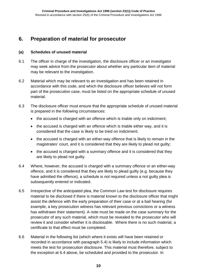## <span id="page-12-0"></span>**6. Preparation of material for prosecutor**

#### <span id="page-12-1"></span>**(a) Schedules of unused material**

- 6.1 The officer in charge of the investigation, the disclosure officer or an investigator may seek advice from the prosecutor about whether any particular item of material may be relevant to the investigation.
- 6.2 Material which may be relevant to an investigation and has been retained in accordance with this code, and which the disclosure officer believes will not form part of the prosecution case, must be listed on the appropriate schedule of unused material.
- 6.3 The disclosure officer must ensure that the appropriate schedule of unused material is prepared in the following circumstances:
	- the accused is charged with an offence which is triable only on indictment;
	- the accused is charged with an offence which is triable either way, and it is considered that the case is likely to be tried on indictment;
	- the accused is charged with an either-way offence that is likely to remain in the magistrates' court, and it is considered that they are likely to plead not guilty;
	- the accused is charged with a summary offence and it is considered that they are likely to plead not guilty.
- 6.4 Where, however, the accused is charged with a summary offence or an either-way offence, and it is considered that they are likely to plead guilty (e.g. because they have admitted the offence), a schedule is *not* required unless a not guilty plea is subsequently entered or indicated.
- 6.5 Irrespective of the anticipated plea, the Common Law test for disclosure requires material to be disclosed if there is material known to the disclosure officer that might assist the defence with the early preparation of their case or at a bail hearing (for example, a key prosecution witness has relevant previous convictions or a witness has withdrawn their statement). A note must be made on the case summary for the prosecutor of any such material, which must be revealed to the prosecutor who will review it and consider whether it is disclosable. Where there is no such material, a certificate to that effect must be completed.
- 6.6 Material in the following list (which where it exists will have been retained or recorded in accordance with paragraph 5.4) is likely to include information which meets the test for prosecution disclosure. This material must therefore, subject to the exception at 6.4 above, be scheduled and provided to the prosecutor. In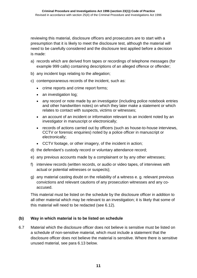reviewing this material, disclosure officers and prosecutors are to start with a presumption that it is likely to meet the disclosure test, although the material will need to be carefully considered and the disclosure test applied before a decision is made:

- a) records which are derived from tapes or recordings of telephone messages (for example 999 calls) containing descriptions of an alleged offence or offender;
- b) any incident logs relating to the allegation;
- c) contemporaneous records of the incident, such as:
	- crime reports and crime report forms;
	- an investigation log;
	- any record or note made by an investigator (including police notebook entries and other handwritten notes) on which they later make a statement or which relates to contact with suspects, victims or witnesses;
	- an account of an incident or information relevant to an incident noted by an investigator in manuscript or electronically;
	- records of actions carried out by officers (such as house-to-house interviews, CCTV or forensic enquiries) noted by a police officer in manuscript or electronically;
	- CCTV footage, or other imagery, of the incident in action;
- d) the defendant's custody record or voluntary attendance record;
- e) any previous accounts made by a complainant or by any other witnesses;
- f) interview records (written records, or audio or video tapes, of interviews with actual or potential witnesses or suspects);
- g) any material casting doubt on the reliability of a witness e. g. relevant previous convictions and relevant cautions of any prosecution witnesses and any coaccused.

This material must be listed on the schedule by the disclosure officer in addition to all other material which may be relevant to an investigation; it is likely that some of this material will need to be redacted (see 6.12).

#### <span id="page-13-0"></span>**(b) Way in which material is to be listed on schedule**

6.7 Material which the disclosure officer does not believe is sensitive must be listed on a schedule of non-sensitive material, which must include a statement that the disclosure officer does not believe the material is sensitive. Where there is sensitive unused material, see para 6.13 below.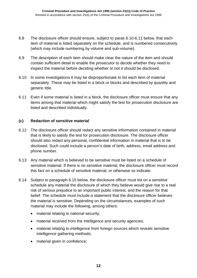- 6.8 The disclosure officer should ensure, subject to paras 6.10-6.11 below, that each item of material is listed separately on the schedule, and is numbered consecutively (which may include numbering by volume and sub-volume).
- 6.9 The description of each item should make clear the nature of the item and should contain sufficient detail to enable the prosecutor to decide whether they need to inspect the material before deciding whether or not it should be disclosed.
- 6.10 In some investigations it may be disproportionate to list each item of material separately. These may be listed in a block or blocks and described by quantity and generic title.
- 6.11 Even if some material is listed in a block, the disclosure officer must ensure that any items among that material which might satisfy the test for prosecution disclosure are listed and described individually.

#### <span id="page-14-0"></span>**(c) Redaction of sensitive material**

- 6.12 The disclosure officer should redact any sensitive information contained in material that is likely to satisfy the test for prosecution disclosure. The disclosure officer should also redact any personal, confidential information in material that is to be disclosed. Such could include a person's date of birth, address, email address and phone number*.*
- 6.13 Any material which is believed to be sensitive must be listed on a schedule of sensitive material. If there is no sensitive material, the disclosure officer must record this fact on a schedule of sensitive material, or otherwise so indicate.
- 6.14 Subject to paragraph 6.15 below, the disclosure officer must list on a sensitive schedule any material the disclosure of which they believe would give rise to a real risk of serious prejudice to an important public interest, and the reason for that belief. The schedule must include a statement that the disclosure officer believes the material is sensitive. Depending on the circumstances, examples of such material may include the following, among others:
	- material relating to national security;
	- material received from the intelligence and security agencies;
	- material relating to intelligence from foreign sources which reveals sensitive intelligence gathering methods;
	- material given in confidence;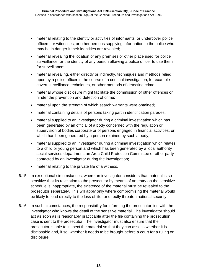- material relating to the identity or activities of informants, or undercover police officers, or witnesses, or other persons supplying information to the police who may be in danger if their identities are revealed;
- material revealing the location of any premises or other place used for police surveillance, or the identity of any person allowing a police officer to use them for surveillance;
- material revealing, either directly or indirectly, techniques and methods relied upon by a police officer in the course of a criminal investigation, for example covert surveillance techniques, or other methods of detecting crime;
- material whose disclosure might facilitate the commission of other offences or hinder the prevention and detection of crime;
- material upon the strength of which search warrants were obtained;
- material containing details of persons taking part in identification parades;
- material supplied to an investigator during a criminal investigation which has been generated by an official of a body concerned with the regulation or supervision of bodies corporate or of persons engaged in financial activities, or which has been generated by a person retained by such a body;
- material supplied to an investigator during a criminal investigation which relates to a child or young person and which has been generated by a local authority social services department, an Area Child Protection Committee or other party contacted by an investigator during the investigation;
- material relating to the private life of a witness.
- 6.15 In exceptional circumstances, where an investigator considers that material is so sensitive that its revelation to the prosecutor by means of an entry on the sensitive schedule is inappropriate, the existence of the material must be revealed to the prosecutor separately. This will apply only where compromising the material would be likely to lead directly to the loss of life, or directly threaten national security.
- 6.16 In such circumstances, the responsibility for informing the prosecutor lies with the investigator who knows the detail of the sensitive material. The investigator should act as soon as is reasonably practicable after the file containing the prosecution case is sent to the prosecutor. The investigator must also ensure that the prosecutor is able to inspect the material so that they can assess whether it is disclosable and, if so, whether it needs to be brought before a court for a ruling on disclosure.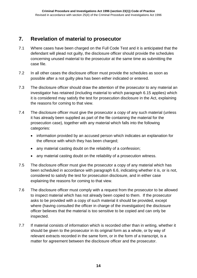## <span id="page-16-0"></span>**7. Revelation of material to prosecutor**

- 7.1 Where cases have been charged on the Full Code Test and it is anticipated that the defendant will plead not guilty, the disclosure officer should provide the schedules concerning unused material to the prosecutor at the same time as submitting the case file.
- 7.2 In all other cases the disclosure officer must provide the schedules as soon as possible after a not guilty plea has been either indicated or entered.
- 7.3 The disclosure officer should draw the attention of the prosecutor to any material an investigator has retained (including material to which paragraph 6.15 applies) which it is considered may satisfy the test for prosecution disclosure in the Act, explaining the reasons for coming to that view.
- 7.4 The disclosure officer must give the prosecutor a copy of any such material (unless it has already been supplied as part of the file containing the material for the prosecution case), together with any material which falls into the following categories:
	- information provided by an accused person which indicates an explanation for the offence with which they has been charged;
	- any material casting doubt on the reliability of a confession;
	- any material casting doubt on the reliability of a prosecution witness.
- 7.5 The disclosure officer must give the prosecutor a copy of any material which has been scheduled in accordance with paragraph 6.6, indicating whether it is, or is not, considered to satisfy the test for prosecution disclosure, and in either case explaining the reasons for coming to that view.
- 7.6 The disclosure officer must comply with a request from the prosecutor to be allowed to inspect material which has not already been copied to them. If the prosecutor asks to be provided with a copy of such material it should be provided, except where (having consulted the officer in charge of the investigation) the disclosure officer believes that the material is too sensitive to be copied and can only be inspected.
- 7.7 If material consists of information which is recorded other than in writing, whether it should be given to the prosecutor in its original form as a whole, or by way of relevant extracts recorded in the same form, or in the form of a transcript, is a matter for agreement between the disclosure officer and the prosecutor.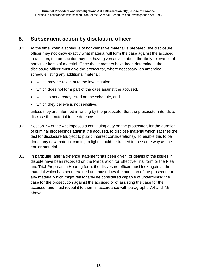## <span id="page-17-0"></span>**8. Subsequent action by disclosure officer**

- 8.1 At the time when a schedule of non-sensitive material is prepared, the disclosure officer may not know exactly what material will form the case against the accused. In addition, the prosecutor may not have given advice about the likely relevance of particular items of material. Once these matters have been determined, the disclosure officer must give the prosecutor, where necessary, an amended schedule listing any additional material:
	- which may be relevant to the investigation,
	- which does not form part of the case against the accused,
	- which is not already listed on the schedule, and
	- which they believe is not sensitive,

unless they are informed in writing by the prosecutor that the prosecutor intends to disclose the material to the defence.

- 8.2 Section 7A of the Act imposes a continuing duty on the prosecutor, for the duration of criminal proceedings against the accused, to disclose material which satisfies the test for disclosure (subject to public interest considerations). To enable this to be done, any new material coming to light should be treated in the same way as the earlier material.
- 8.3 In particular, after a defence statement has been given, or details of the issues in dispute have been recorded on the Preparation for Effective Trial form or the Plea and Trial Preparation Hearing form, the disclosure officer must look again at the material which has been retained and must draw the attention of the prosecutor to any material which might reasonably be considered capable of undermining the case for the prosecution against the accused or of assisting the case for the accused; and must reveal it to them in accordance with paragraphs 7.4 and 7.5 above.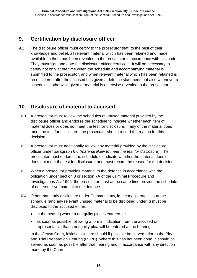## <span id="page-18-0"></span>**9. Certification by disclosure officer**

9.1 The disclosure officer must certify to the prosecutor that, to the best of their knowledge and belief, all relevant material which has been retained and made available to them has been revealed to the prosecutor in accordance with this code. They must sign and date the disclosure officer certificate. It will be necessary to certify not only at the time when the schedule and accompanying material is submitted to the prosecutor, and when relevant material which has been retained is reconsidered after the accused has given a defence statement, but also whenever a schedule is otherwise given or material is otherwise revealed to the prosecutor.

## <span id="page-18-1"></span>**10. Disclosure of material to accused**

- 10.1 A prosecutor must review the schedules of unused material provided by the disclosure officer and endorse the schedule to indicate whether each item of material does or does not meet the test for disclosure. If any of the material does meet the test for disclosure, the prosecutor should record the reason for this decision.
- 10.2 A prosecutor must additionally review any material provided by the disclosure officer under paragraph 6.6 (*material likely to meet the test for disclosure*). The prosecutor must endorse the schedule to indicate whether the material does or does not meet the test for disclosure, and must record the reason for the decision.
- 10.3 When a prosecutor provides material to the defence in accordance with the obligation under section 3 or section 7A of the Criminal Procedure and Investigations Act 1996, the prosecutor must at the same time provide the schedule of non-sensitive material to the defence.
- 10.4 Other than early disclosure under Common Law, in the magistrates' court the schedule (and any relevant unused material to be disclosed under it) must be disclosed to the accused either:
	- at the hearing where a not guilty plea is entered, or
	- as soon as possible following a formal indication from the accused or representative that a not guilty plea will be entered at the hearing.

In the Crown Court, initial disclosure should if possible be served prior to the Plea and Trial Preparation Hearing (PTPH). Where this has not been done, it should be served as soon as possible after that hearing and in accordance with any direction made by the Court.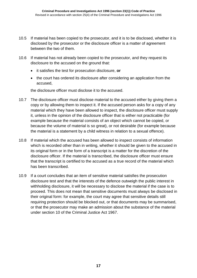- 10.5 If material has been copied to the prosecutor, and it is to be disclosed, whether it is disclosed by the prosecutor or the disclosure officer is a matter of agreement between the two of them.
- 10.6 If material has not already been copied to the prosecutor, and they request its disclosure to the accused on the ground that:
	- it satisfies the test for prosecution disclosure, **or**
	- the court has ordered its disclosure after considering an application from the accused,

the disclosure officer must disclose it to the accused.

- 10.7 The disclosure officer must disclose material to the accused either by giving them a copy or by allowing them to inspect it. If the accused person asks for a copy of any material which they have been allowed to inspect, the disclosure officer must supply it, unless in the opinion of the disclosure officer that is either not practicable (for example because the material consists of an object which cannot be copied, or because the volume of material is so great), or not desirable (for example because the material is a statement by a child witness in relation to a sexual offence).
- 10.8 If material which the accused has been allowed to inspect consists of information which is recorded other than in writing, whether it should be given to the accused in its original form or in the form of a transcript is a matter for the discretion of the disclosure officer. If the material is transcribed, the disclosure officer must ensure that the transcript is certified to the accused as a true record of the material which has been transcribed.
- 10.9 If a court concludes that an item of sensitive material satisfies the prosecution disclosure test and that the interests of the defence outweigh the public interest in withholding disclosure, it will be necessary to disclose the material if the case is to proceed. This does not mean that sensitive documents must always be disclosed in their original form: for example, the court may agree that sensitive details still requiring protection should be blocked out, or that documents may be summarised, or that the prosecutor may make an admission about the substance of the material under section 10 of the Criminal Justice Act 1967.